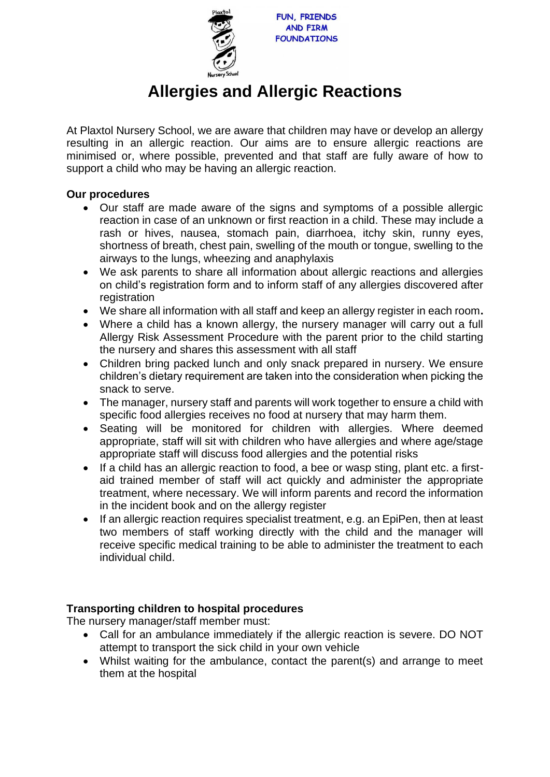

## **Allergies and Allergic Reactions**

At Plaxtol Nursery School, we are aware that children may have or develop an allergy resulting in an allergic reaction. Our aims are to ensure allergic reactions are minimised or, where possible, prevented and that staff are fully aware of how to support a child who may be having an allergic reaction.

## **Our procedures**

- Our staff are made aware of the signs and symptoms of a possible allergic reaction in case of an unknown or first reaction in a child. These may include a rash or hives, nausea, stomach pain, diarrhoea, itchy skin, runny eyes, shortness of breath, chest pain, swelling of the mouth or tongue, swelling to the airways to the lungs, wheezing and anaphylaxis
- We ask parents to share all information about allergic reactions and allergies on child's registration form and to inform staff of any allergies discovered after registration
- We share all information with all staff and keep an allergy register in each room**.**
- Where a child has a known allergy, the nursery manager will carry out a full Allergy Risk Assessment Procedure with the parent prior to the child starting the nursery and shares this assessment with all staff
- Children bring packed lunch and only snack prepared in nursery. We ensure children's dietary requirement are taken into the consideration when picking the snack to serve.
- The manager, nursery staff and parents will work together to ensure a child with specific food allergies receives no food at nursery that may harm them.
- Seating will be monitored for children with allergies. Where deemed appropriate, staff will sit with children who have allergies and where age/stage appropriate staff will discuss food allergies and the potential risks
- If a child has an allergic reaction to food, a bee or wasp sting, plant etc. a firstaid trained member of staff will act quickly and administer the appropriate treatment, where necessary. We will inform parents and record the information in the incident book and on the allergy register
- If an allergic reaction requires specialist treatment, e.g. an EpiPen, then at least two members of staff working directly with the child and the manager will receive specific medical training to be able to administer the treatment to each individual child.

## **Transporting children to hospital procedures**

The nursery manager/staff member must:

- Call for an ambulance immediately if the allergic reaction is severe. DO NOT attempt to transport the sick child in your own vehicle
- Whilst waiting for the ambulance, contact the parent(s) and arrange to meet them at the hospital